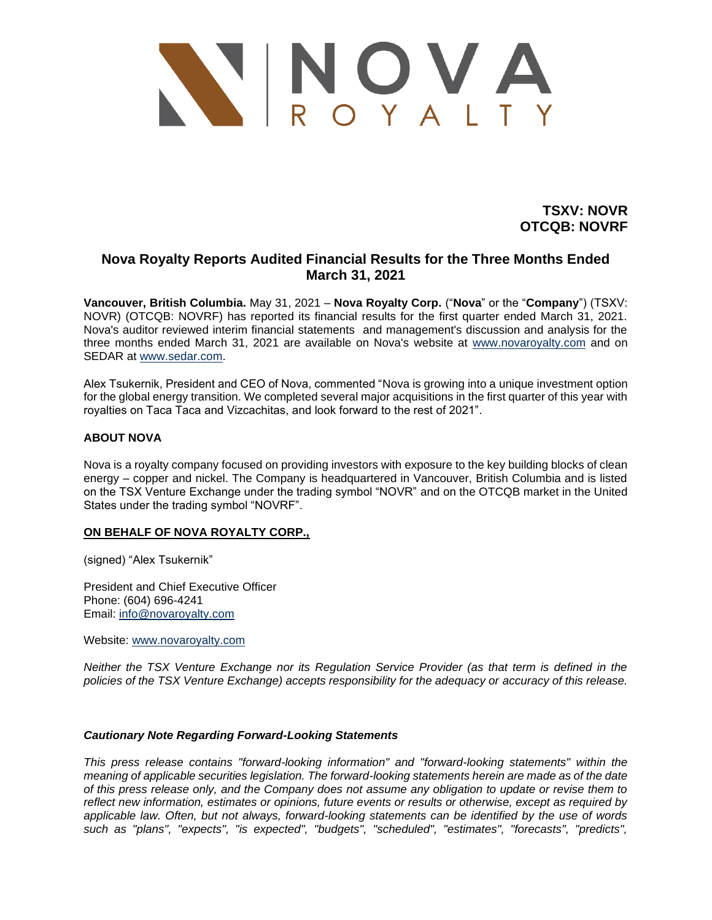

**TSXV: NOVR OTCQB: NOVRF**

## **Nova Royalty Reports Audited Financial Results for the Three Months Ended March 31, 2021**

**Vancouver, British Columbia.** May 31, 2021 – **Nova Royalty Corp.** ("**Nova**" or the "**Company**") (TSXV: NOVR) (OTCQB: NOVRF) has reported its financial results for the first quarter ended March 31, 2021. Nova's auditor reviewed interim financial statements and management's discussion and analysis for the three months ended March 31, 2021 are available on Nova's website at [www.novaroyalty.com](http://www.novaroyalty.com/) and on SEDAR at [www.sedar.com.](http://www.sedar.com/)

Alex Tsukernik, President and CEO of Nova, commented "Nova is growing into a unique investment option for the global energy transition. We completed several major acquisitions in the first quarter of this year with royalties on Taca Taca and Vizcachitas, and look forward to the rest of 2021".

## **ABOUT NOVA**

Nova is a royalty company focused on providing investors with exposure to the key building blocks of clean energy – copper and nickel. The Company is headquartered in Vancouver, British Columbia and is listed on the TSX Venture Exchange under the trading symbol "NOVR" and on the OTCQB market in the United States under the trading symbol "NOVRF".

## **ON BEHALF OF NOVA ROYALTY CORP.,**

(signed) "Alex Tsukernik"

President and Chief Executive Officer Phone: (604) 696-4241 Email: [info@novaroyalty.com](mailto:info@novaroyalty.com)

Website: [www.novaroyalty.com](http://www.novaroyalty.com/)

*Neither the TSX Venture Exchange nor its Regulation Service Provider (as that term is defined in the policies of the TSX Venture Exchange) accepts responsibility for the adequacy or accuracy of this release.*

## *Cautionary Note Regarding Forward-Looking Statements*

*This press release contains "forward-looking information" and "forward-looking statements" within the meaning of applicable securities legislation. The forward-looking statements herein are made as of the date of this press release only, and the Company does not assume any obligation to update or revise them to reflect new information, estimates or opinions, future events or results or otherwise, except as required by applicable law. Often, but not always, forward-looking statements can be identified by the use of words such as "plans", "expects", "is expected", "budgets", "scheduled", "estimates", "forecasts", "predicts",*